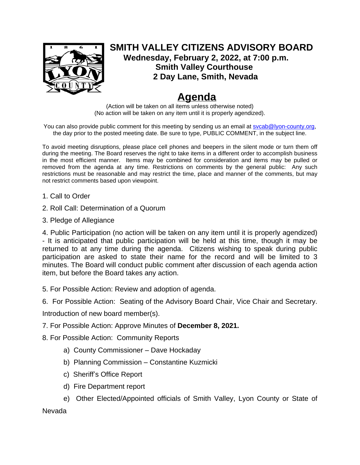

## **SMITH VALLEY CITIZENS ADVISORY BOARD Wednesday, February 2, 2022, at 7:00 p.m. Smith Valley Courthouse 2 Day Lane, Smith, Nevada**

## **Agenda**

(Action will be taken on all items unless otherwise noted) (No action will be taken on any item until it is properly agendized).

You can also provide public comment for this meeting by sending us an email at sycab@lyon-county.org, the day prior to the posted meeting date. Be sure to type, PUBLIC COMMENT, in the subject line.

To avoid meeting disruptions, please place cell phones and beepers in the silent mode or turn them off during the meeting. The Board reserves the right to take items in a different order to accomplish business in the most efficient manner. Items may be combined for consideration and items may be pulled or removed from the agenda at any time. Restrictions on comments by the general public: Any such restrictions must be reasonable and may restrict the time, place and manner of the comments, but may not restrict comments based upon viewpoint.

- 1. Call to Order
- 2. Roll Call: Determination of a Quorum
- 3. Pledge of Allegiance

4. Public Participation (no action will be taken on any item until it is properly agendized) - It is anticipated that public participation will be held at this time, though it may be returned to at any time during the agenda. Citizens wishing to speak during public participation are asked to state their name for the record and will be limited to 3 minutes. The Board will conduct public comment after discussion of each agenda action item, but before the Board takes any action.

- 5. For Possible Action: Review and adoption of agenda.
- 6. For Possible Action: Seating of the Advisory Board Chair, Vice Chair and Secretary.

Introduction of new board member(s).

- 7. For Possible Action: Approve Minutes of **December 8, 2021.**
- 8. For Possible Action: Community Reports
	- a) County Commissioner Dave Hockaday
	- b) Planning Commission Constantine Kuzmicki
	- c) Sheriff's Office Report
	- d) Fire Department report
	- e) Other Elected/Appointed officials of Smith Valley, Lyon County or State of

Nevada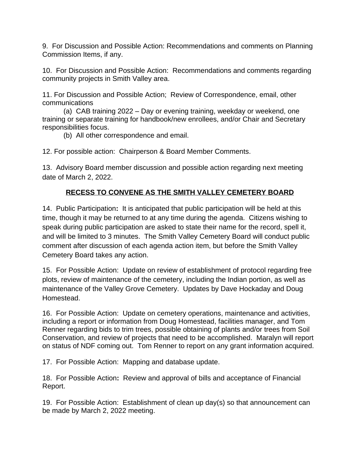9. For Discussion and Possible Action: Recommendations and comments on Planning Commission Items, if any.

10. For Discussion and Possible Action: Recommendations and comments regarding community projects in Smith Valley area.

11. For Discussion and Possible Action; Review of Correspondence, email, other communications

(a) CAB training 2022 – Day or evening training, weekday or weekend, one training or separate training for handbook/new enrollees, and/or Chair and Secretary responsibilities focus.

(b) All other correspondence and email.

12. For possible action: Chairperson & Board Member Comments.

13. Advisory Board member discussion and possible action regarding next meeting date of March 2, 2022.

## **RECESS TO CONVENE AS THE SMITH VALLEY CEMETERY BOARD**

14. Public Participation**:** It is anticipated that public participation will be held at this time, though it may be returned to at any time during the agenda. Citizens wishing to speak during public participation are asked to state their name for the record, spell it, and will be limited to 3 minutes. The Smith Valley Cemetery Board will conduct public comment after discussion of each agenda action item, but before the Smith Valley Cemetery Board takes any action.

15. For Possible Action:Update on review of establishment of protocol regarding free plots, review of maintenance of the cemetery, including the Indian portion, as well as maintenance of the Valley Grove Cemetery. Updates by Dave Hockaday and Doug Homestead.

16. For Possible Action: Update on cemetery operations, maintenance and activities, including a report or information from Doug Homestead, facilities manager, and Tom Renner regarding bids to trim trees, possible obtaining of plants and/or trees from Soil Conservation, and review of projects that need to be accomplished. Maralyn will report on status of NDF coming out. Tom Renner to report on any grant information acquired.

17. For Possible Action: Mapping and database update.

18. For Possible Action**:** Review and approval of bills and acceptance of Financial Report.

19. For Possible Action: Establishment of clean up day(s) so that announcement can be made by March 2, 2022 meeting.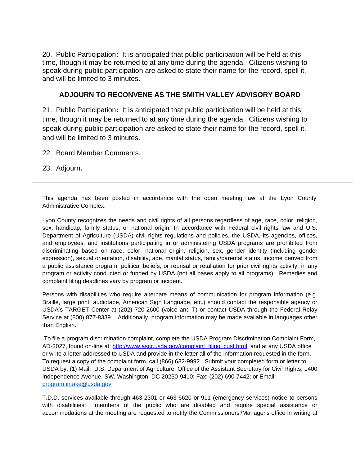20. Public Participation**:** It is anticipated that public participation will be held at this time, though it may be returned to at any time during the agenda. Citizens wishing to speak during public participation are asked to state their name for the record, spell it, and will be limited to 3 minutes.

## **ADJOURN TO RECONVENE AS THE SMITH VALLEY ADVISORY BOARD**

21. Public Participation**:** It is anticipated that public participation will be held at this time, though it may be returned to at any time during the agenda. Citizens wishing to speak during public participation are asked to state their name for the record, spell it, and will be limited to 3 minutes.

22. Board Member Comments.

23. Adjourn**.**

This agenda has been posted in accordance with the open meeting law at the Lyon County Administrative Complex.

Lyon County recognizes the needs and civil rights of all persons regardless of age, race, color, religion, sex, handicap, family status, or national origin. In accordance with Federal civil rights law and U.S. Department of Agriculture (USDA) civil rights regulations and policies, the USDA, its agencies, offices, and employees, and institutions participating in or administering USDA programs are prohibited from discriminating based on race, color, national origin, religion, sex, gender identity (including gender expression), sexual orientation, disability, age, marital status, family/parental status, income derived from a public assistance program, political beliefs, or reprisal or retaliation for prior civil rights activity, in any program or activity conducted or funded by USDA (not all bases apply to all programs). Remedies and complaint filing deadlines vary by program or incident.

Persons with disabilities who require alternate means of communication for program information (e.g. Braille, large print, audiotape, American Sign Language, etc.) should contact the responsible agency or USDA's TARGET Center at (202) 720-2600 (voice and T) or contact USDA through the Federal Relay Service at (800) 877-8339. Additionally, program information may be made available in languages other than English.

 To file a program discrimination complaint, complete the USDA Program Discrimination Complaint Form, AD-3027, found on-line at: [http://www.ascr.usda.gov/complaint\\_filing\\_cust.html,](about:blank) and at any USDA office or write a letter addressed to USDA and provide in the letter all of the information requested in the form. To request a copy of the complaint form, call (866) 632-9992. Submit your completed form or letter to USDA by: (1) Mail: U.S. Department of Agriculture, Office of the Assistant Secretary for Civil Rights, 1400 Independence Avenue, SW, Washington, DC 20250-9410; Fax: (202) 690-7442; or Email: [program.intake@usda.gov](about:blank)

T.D.D. services available through 463-2301 or 463-6620 or 911 (emergency services) notice to persons with disabilities: members of the public who are disabled and require special assistance or accommodations at the meeting are requested to notify the Commissioners'/Manager's office in writing at